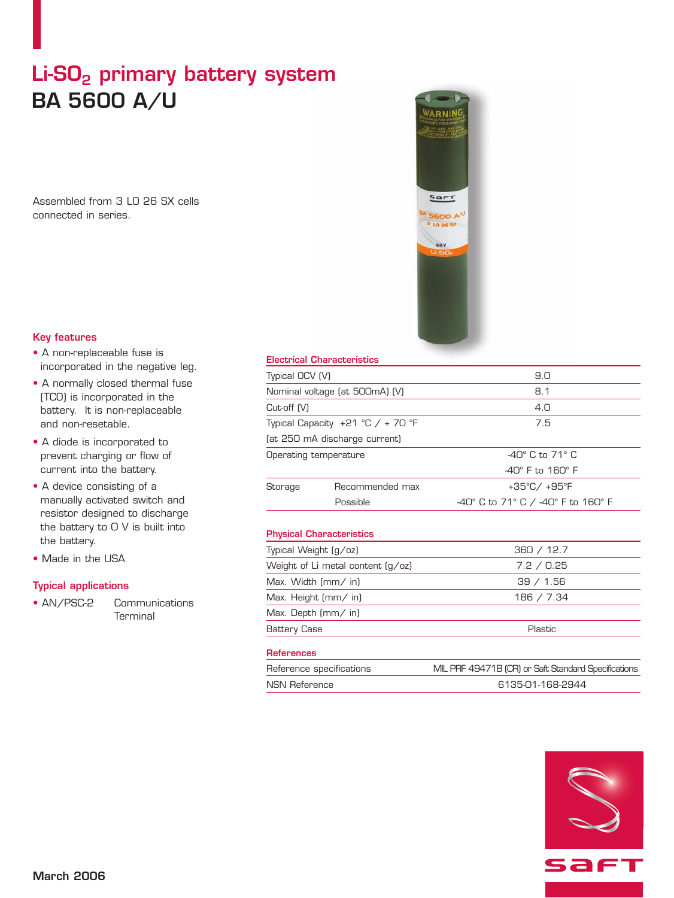# Li-SO<sub>2</sub> primary battery system **BA 5600 A/U**

Assembled from 3 LO 26 SX cells connected in series.



# **Key features**

- A non-replaceable fuse is incorporated in the negative leg.
- A normally closed thermal fuse (TCO) is incorporated in the battery. It is non-replaceable and non-resetable.
- A diode is incorporated to prevent charging or flow of current into the battery.
- A device consisting of a manually activated switch and resistor designed to discharge the battery to 0 V is built into the battery.
- Made in the USA

# **Typical applications**

• AN/PSC-2 Communications **Terminal** 

# **Electrical Characteristics**

| Typical OCV (V)                                                                      |                                 | 9.0                                |                       |                               |                                |
|--------------------------------------------------------------------------------------|---------------------------------|------------------------------------|-----------------------|-------------------------------|--------------------------------|
| Nominal voltage (at 500mA) (V)<br>Cut-off (V)<br>Typical Capacity $+21$ °C / + 70 °F |                                 | 8.1<br>4.0<br>7.5                  |                       |                               |                                |
|                                                                                      |                                 |                                    |                       | (at 250 mA discharge current) |                                |
|                                                                                      |                                 |                                    | Operating temperature |                               | $-40^\circ$ C to 71 $^\circ$ C |
|                                                                                      |                                 | $-40^\circ$ F to $160^\circ$ F     |                       |                               |                                |
| Storage                                                                              | Recommended max                 | +35°C/+95°F                        |                       |                               |                                |
|                                                                                      | Possible                        | -40° C to 71° C / -40° F to 160° F |                       |                               |                                |
|                                                                                      |                                 |                                    |                       |                               |                                |
|                                                                                      | <b>Physical Characteristics</b> |                                    |                       |                               |                                |
| Typical Weight (g/oz)                                                                |                                 | 360 / 12.7                         |                       |                               |                                |
| Weight of Li metal content (g/oz)                                                    |                                 | 7.2 / 0.25                         |                       |                               |                                |
| Max. Width (mm/ in)                                                                  |                                 | 39 / 1.56                          |                       |                               |                                |
| Max. Height (mm/ in)                                                                 |                                 | 186 / 7.34                         |                       |                               |                                |
| Max. Depth (mm/ in)                                                                  |                                 |                                    |                       |                               |                                |
| <b>Battery Case</b>                                                                  |                                 | Plastic                            |                       |                               |                                |

### **References**

| Reference specifications | MIL PRF 49471B (CR) or Saft Standard Specifications |  |
|--------------------------|-----------------------------------------------------|--|
| NSN Reference            | 6135-01-168-2944                                    |  |